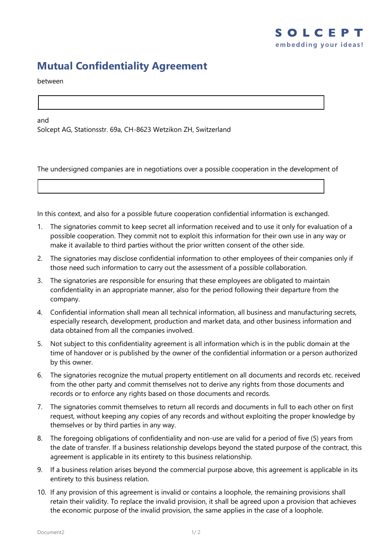## **Mutual Confidentiality Agreement**

between

and

Solcept AG, Stationsstr. 69a, CH-8623 Wetzikon ZH, Switzerland

...........................................................................................

...............................................................................................................................

The undersigned companies are in negotiations over a possible cooperation in the development of

In this context, and also for a possible future cooperation confidential information is exchanged.

- 1. The signatories commit to keep secret all information received and to use it only for evaluation of a possible cooperation. They commit not to exploit this information for their own use in any way or make it available to third parties without the prior written consent of the other side.
- 2. The signatories may disclose confidential information to other employees of their companies only if those need such information to carry out the assessment of a possible collaboration.
- 3. The signatories are responsible for ensuring that these employees are obligated to maintain confidentiality in an appropriate manner, also for the period following their departure from the company.
- 4. Confidential information shall mean all technical information, all business and manufacturing secrets, especially research, development, production and market data, and other business information and data obtained from all the companies involved.
- 5. Not subject to this confidentiality agreement is all information which is in the public domain at the time of handover or is published by the owner of the confidential information or a person authorized by this owner.
- 6. The signatories recognize the mutual property entitlement on all documents and records etc. received from the other party and commit themselves not to derive any rights from those documents and records or to enforce any rights based on those documents and records.
- 7. The signatories commit themselves to return all records and documents in full to each other on first request, without keeping any copies of any records and without exploiting the proper knowledge by themselves or by third parties in any way.
- 8. The foregoing obligations of confidentiality and non-use are valid for a period of five (5) years from the date of transfer. If a business relationship develops beyond the stated purpose of the contract, this agreement is applicable in its entirety to this business relationship.
- 9. If a business relation arises beyond the commercial purpose above, this agreement is applicable in its entirety to this business relation.
- 10. If any provision of this agreement is invalid or contains a loophole, the remaining provisions shall retain their validity. To replace the invalid provision, it shall be agreed upon a provision that achieves the economic purpose of the invalid provision, the same applies in the case of a loophole.